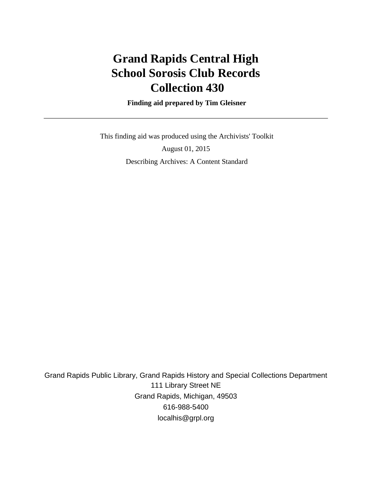# **Grand Rapids Central High School Sorosis Club Records Collection 430**

 **Finding aid prepared by Tim Gleisner**

 This finding aid was produced using the Archivists' Toolkit August 01, 2015 Describing Archives: A Content Standard

Grand Rapids Public Library, Grand Rapids History and Special Collections Department 111 Library Street NE Grand Rapids, Michigan, 49503 616-988-5400 localhis@grpl.org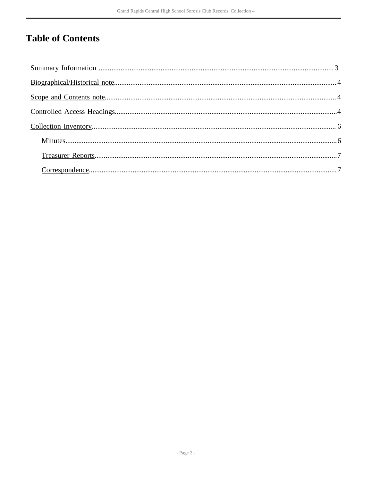## **Table of Contents**

 $\overline{\phantom{a}}$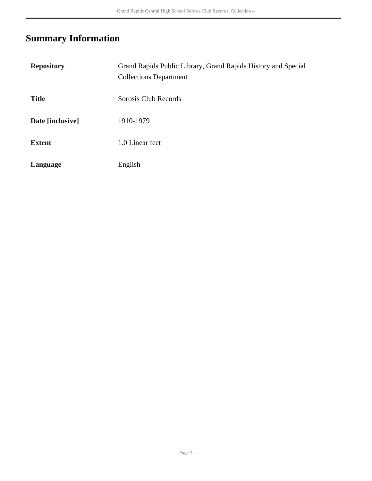# <span id="page-2-0"></span>**Summary Information**

| <b>Repository</b> | Grand Rapids Public Library, Grand Rapids History and Special<br><b>Collections Department</b> |
|-------------------|------------------------------------------------------------------------------------------------|
| <b>Title</b>      | Sorosis Club Records                                                                           |
| Date [inclusive]  | 1910-1979                                                                                      |
| <b>Extent</b>     | 1.0 Linear feet                                                                                |
| Language          | English                                                                                        |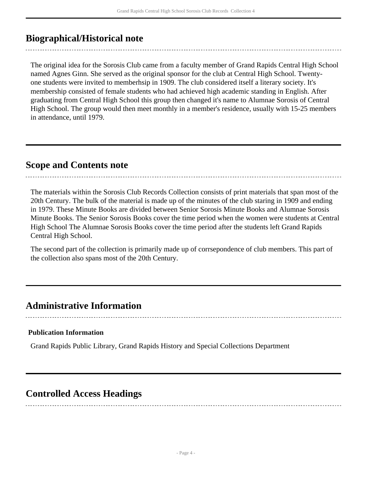## <span id="page-3-0"></span>**Biographical/Historical note**

The original idea for the Sorosis Club came from a faculty member of Grand Rapids Central High School named Agnes Ginn. She served as the original sponsor for the club at Central High School. Twentyone students were invited to memberhsip in 1909. The club considered itself a literary society. It's membership consisted of female students who had achieved high academic standing in English. After graduating from Central High School this group then changed it's name to Alumnae Sorosis of Central High School. The group would then meet monthly in a member's residence, usually with 15-25 members in attendance, until 1979.

### <span id="page-3-1"></span>**Scope and Contents note**

The materials within the Sorosis Club Records Collection consists of print materials that span most of the 20th Century. The bulk of the material is made up of the minutes of the club staring in 1909 and ending in 1979. These Minute Books are divided between Senior Sorosis Minute Books and Alumnae Sorosis Minute Books. The Senior Sorosis Books cover the time period when the women were students at Central High School The Alumnae Sorosis Books cover the time period after the students left Grand Rapids Central High School.

The second part of the collection is primarily made up of corrsepondence of club members. This part of the collection also spans most of the 20th Century.

### **Administrative Information**

#### **Publication Information**

Grand Rapids Public Library, Grand Rapids History and Special Collections Department

### <span id="page-3-2"></span>**Controlled Access Headings**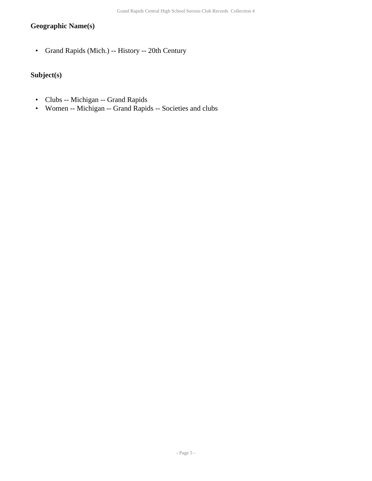### **Geographic Name(s)**

• Grand Rapids (Mich.) -- History -- 20th Century

### **Subject(s)**

- Clubs -- Michigan -- Grand Rapids
- Women -- Michigan -- Grand Rapids -- Societies and clubs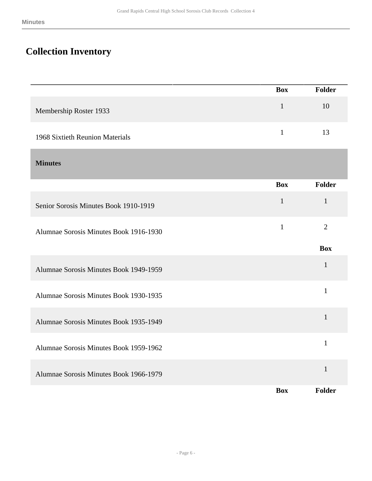## <span id="page-5-0"></span>**Collection Inventory**

<span id="page-5-1"></span>

|                                        | <b>Box</b>   | Folder         |
|----------------------------------------|--------------|----------------|
| Membership Roster 1933                 | $\mathbf{1}$ | 10             |
| 1968 Sixtieth Reunion Materials        | $\mathbf{1}$ | 13             |
| <b>Minutes</b>                         |              |                |
|                                        | <b>Box</b>   | Folder         |
| Senior Sorosis Minutes Book 1910-1919  | $\mathbf 1$  | $\mathbf 1$    |
| Alumnae Sorosis Minutes Book 1916-1930 | $\mathbf{1}$ | $\overline{2}$ |
|                                        |              | <b>Box</b>     |
| Alumnae Sorosis Minutes Book 1949-1959 |              | $\mathbf{1}$   |
| Alumnae Sorosis Minutes Book 1930-1935 |              | $\mathbf{1}$   |
| Alumnae Sorosis Minutes Book 1935-1949 |              | $\mathbf{1}$   |
| Alumnae Sorosis Minutes Book 1959-1962 |              | $\mathbf{1}$   |
| Alumnae Sorosis Minutes Book 1966-1979 |              | $\mathbf{1}$   |
|                                        | <b>Box</b>   | Folder         |